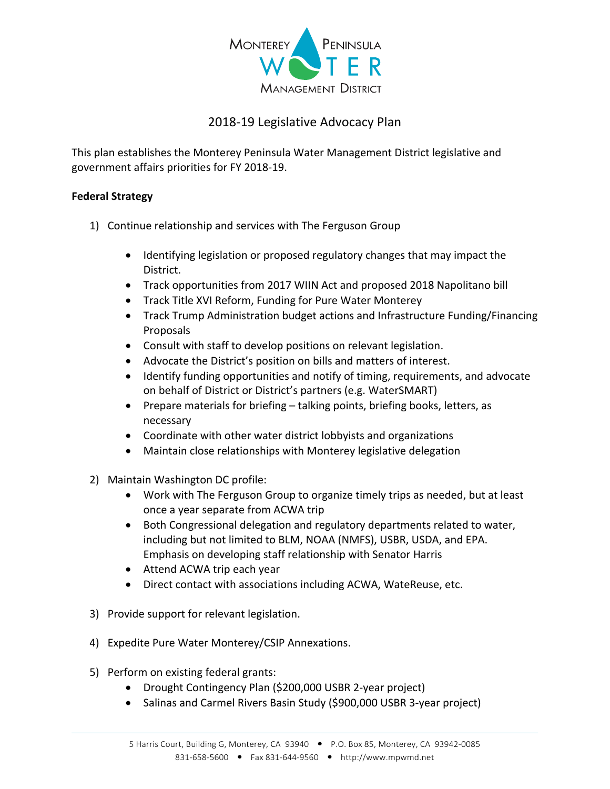

## 2018‐19 Legislative Advocacy Plan

This plan establishes the Monterey Peninsula Water Management District legislative and government affairs priorities for FY 2018‐19.

## **Federal Strategy**

- 1) Continue relationship and services with The Ferguson Group
	- Identifying legislation or proposed regulatory changes that may impact the District.
	- Track opportunities from 2017 WIIN Act and proposed 2018 Napolitano bill
	- Track Title XVI Reform, Funding for Pure Water Monterey
	- Track Trump Administration budget actions and Infrastructure Funding/Financing Proposals
	- Consult with staff to develop positions on relevant legislation.
	- Advocate the District's position on bills and matters of interest.
	- Identify funding opportunities and notify of timing, requirements, and advocate on behalf of District or District's partners (e.g. WaterSMART)
	- Prepare materials for briefing talking points, briefing books, letters, as necessary
	- Coordinate with other water district lobbyists and organizations
	- Maintain close relationships with Monterey legislative delegation
- 2) Maintain Washington DC profile:
	- Work with The Ferguson Group to organize timely trips as needed, but at least once a year separate from ACWA trip
	- Both Congressional delegation and regulatory departments related to water, including but not limited to BLM, NOAA (NMFS), USBR, USDA, and EPA. Emphasis on developing staff relationship with Senator Harris
	- Attend ACWA trip each year
	- Direct contact with associations including ACWA, WateReuse, etc.
- 3) Provide support for relevant legislation.
- 4) Expedite Pure Water Monterey/CSIP Annexations.
- 5) Perform on existing federal grants:
	- Drought Contingency Plan (\$200,000 USBR 2-year project)
	- Salinas and Carmel Rivers Basin Study (\$900,000 USBR 3-year project)